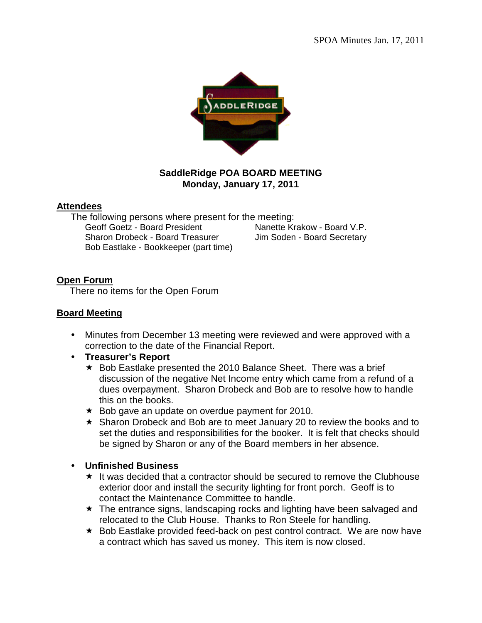

## **SaddleRidge POA BOARD MEETING Monday, January 17, 2011**

#### **Attendees**

The following persons where present for the meeting: Geoff Goetz - Board President Nanette Krakow - Board V.P. Sharon Drobeck - Board Treasurer Jim Soden - Board Secretary Bob Eastlake - Bookkeeper (part time)

# **Open Forum**

There no items for the Open Forum

## **Board Meeting**

- Minutes from December 13 meeting were reviewed and were approved with a correction to the date of the Financial Report.
- **Treasurer's Report** 
	- $\star$  Bob Eastlake presented the 2010 Balance Sheet. There was a brief discussion of the negative Net Income entry which came from a refund of a dues overpayment. Sharon Drobeck and Bob are to resolve how to handle this on the books.
	- $\star$  Bob gave an update on overdue payment for 2010.
	- \* Sharon Drobeck and Bob are to meet January 20 to review the books and to set the duties and responsibilities for the booker. It is felt that checks should be signed by Sharon or any of the Board members in her absence.

# **Unfinished Business**

- $\star$  It was decided that a contractor should be secured to remove the Clubhouse exterior door and install the security lighting for front porch. Geoff is to contact the Maintenance Committee to handle.
- \* The entrance signs, landscaping rocks and lighting have been salvaged and relocated to the Club House. Thanks to Ron Steele for handling.
- $\star$  Bob Eastlake provided feed-back on pest control contract. We are now have a contract which has saved us money. This item is now closed.